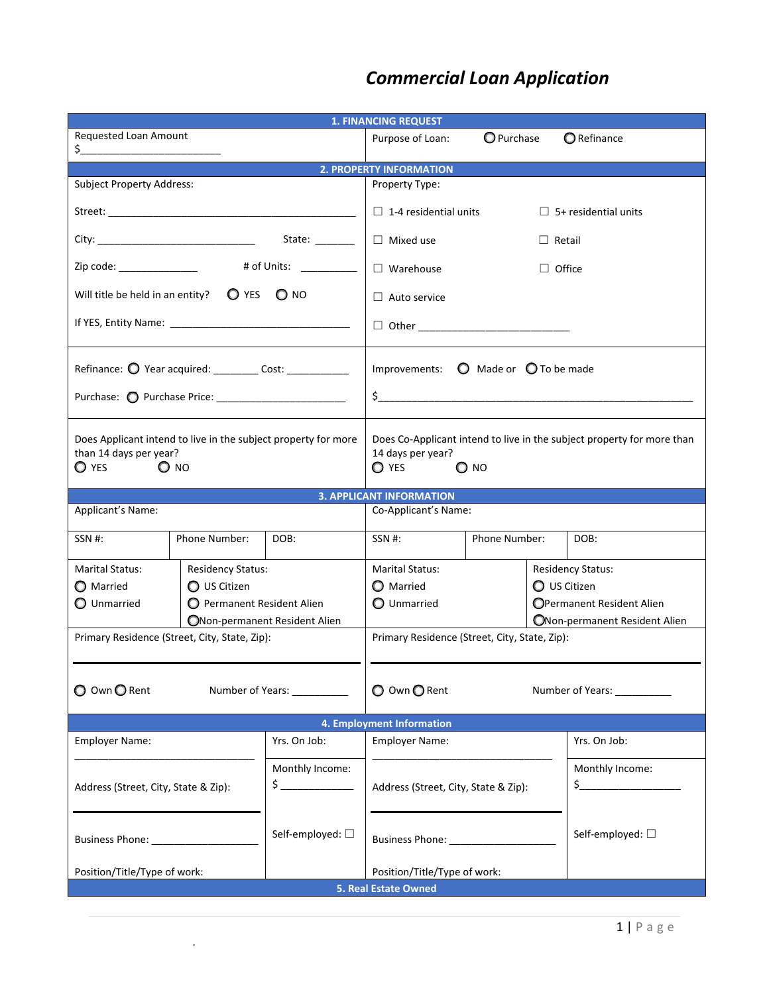## *Commercial Loan Application*

| <b>1. FINANCING REQUEST</b>                                                                                          |                               |                                  |                                                                                                                                |               |                                        |                               |  |  |  |  |
|----------------------------------------------------------------------------------------------------------------------|-------------------------------|----------------------------------|--------------------------------------------------------------------------------------------------------------------------------|---------------|----------------------------------------|-------------------------------|--|--|--|--|
| <b>Requested Loan Amount</b>                                                                                         |                               |                                  | Purpose of Loan:                                                                                                               | O Purchase    |                                        | <b>O</b> Refinance            |  |  |  |  |
| <b>2. PROPERTY INFORMATION</b>                                                                                       |                               |                                  |                                                                                                                                |               |                                        |                               |  |  |  |  |
| <b>Subject Property Address:</b>                                                                                     |                               |                                  | Property Type:                                                                                                                 |               |                                        |                               |  |  |  |  |
|                                                                                                                      |                               |                                  | $\Box$ 1-4 residential units                                                                                                   |               |                                        | $\Box$ 5+ residential units   |  |  |  |  |
|                                                                                                                      |                               |                                  | $\Box$ Mixed use                                                                                                               |               | $\Box$ Retail                          |                               |  |  |  |  |
| # of Units: __________<br>Zip code: ________________                                                                 |                               |                                  | $\Box$ Warehouse<br>$\Box$ Office                                                                                              |               |                                        |                               |  |  |  |  |
| Will title be held in an entity?<br><b>O</b> YES<br>$O$ NO                                                           |                               |                                  | $\Box$ Auto service                                                                                                            |               |                                        |                               |  |  |  |  |
|                                                                                                                      |                               |                                  |                                                                                                                                |               |                                        |                               |  |  |  |  |
| Refinance: O Year acquired: __________ Cost: ______________                                                          |                               |                                  | Improvements:<br>O Made or O To be made                                                                                        |               |                                        |                               |  |  |  |  |
|                                                                                                                      |                               |                                  | $\frac{1}{2}$                                                                                                                  |               |                                        |                               |  |  |  |  |
| Does Applicant intend to live in the subject property for more<br>than 14 days per year?<br>$\bigcirc$ yes<br>$O$ NO |                               |                                  | Does Co-Applicant intend to live in the subject property for more than<br>14 days per year?<br>$\bigcirc$ yes<br>$\bigcirc$ NO |               |                                        |                               |  |  |  |  |
| <b>3. APPLICANT INFORMATION</b>                                                                                      |                               |                                  |                                                                                                                                |               |                                        |                               |  |  |  |  |
| Applicant's Name:                                                                                                    |                               |                                  | Co-Applicant's Name:                                                                                                           |               |                                        |                               |  |  |  |  |
| SSN #:                                                                                                               | Phone Number:                 | DOB:                             | SSN #:                                                                                                                         | Phone Number: |                                        | DOB:                          |  |  |  |  |
| Marital Status:                                                                                                      | <b>Residency Status:</b>      |                                  | <b>Marital Status:</b>                                                                                                         |               |                                        | <b>Residency Status:</b>      |  |  |  |  |
| O Married                                                                                                            | O US Citizen                  |                                  | <b>O</b> Married                                                                                                               |               | O US Citizen                           |                               |  |  |  |  |
| O Unmarried                                                                                                          | Permanent Resident Alien      |                                  | O Unmarried                                                                                                                    |               | OPermanent Resident Alien              |                               |  |  |  |  |
|                                                                                                                      | ONon-permanent Resident Alien |                                  |                                                                                                                                |               |                                        | ONon-permanent Resident Alien |  |  |  |  |
| Primary Residence (Street, City, State, Zip):                                                                        |                               |                                  | Primary Residence (Street, City, State, Zip):                                                                                  |               |                                        |                               |  |  |  |  |
| O Own O Rent                                                                                                         |                               | Number of Years:                 | O Own O Rent                                                                                                                   |               |                                        | Number of Years: __________   |  |  |  |  |
| 4. Employment Information                                                                                            |                               |                                  |                                                                                                                                |               |                                        |                               |  |  |  |  |
| <b>Employer Name:</b>                                                                                                |                               | Yrs. On Job:                     | <b>Employer Name:</b>                                                                                                          |               | Yrs. On Job:                           |                               |  |  |  |  |
| Address (Street, City, State & Zip):                                                                                 |                               | Monthly Income:<br>$\frac{1}{2}$ | Address (Street, City, State & Zip):                                                                                           |               | Monthly Income:<br>$\zeta$ and $\zeta$ |                               |  |  |  |  |
| Business Phone: __________________                                                                                   |                               | Self-employed: □                 |                                                                                                                                |               | Self-employed: □                       |                               |  |  |  |  |
| Position/Title/Type of work:<br>Position/Title/Type of work:                                                         |                               |                                  |                                                                                                                                |               |                                        |                               |  |  |  |  |
| 5. Real Estate Owned                                                                                                 |                               |                                  |                                                                                                                                |               |                                        |                               |  |  |  |  |

.